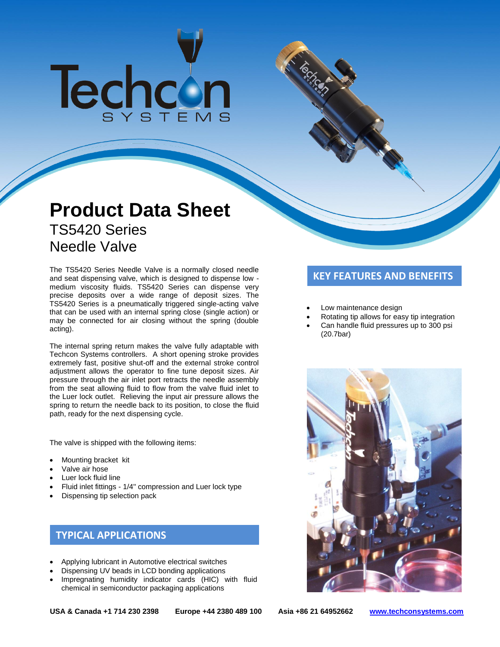# Techcon

# **Product Data Sheet** TS5420 Series Needle Valve

The TS5420 Series Needle Valve is a normally closed needle<br>and seat dispensing valve, which is designed to dispense low - **KEY FEATURES AND BENEFITS** medium viscosity fluids. TS5420 Series can dispense very precise deposits over a wide range of deposit sizes. The TS5420 Series is a pneumatically triggered single-acting valve that can be used with an internal spring close (single action) or may be connected for air closing without the spring (double acting).

The internal spring return makes the valve fully adaptable with Techcon Systems controllers. A short opening stroke provides extremely fast, positive shut-off and the external stroke control adjustment allows the operator to fine tune deposit sizes. Air pressure through the air inlet port retracts the needle assembly from the seat allowing fluid to flow from the valve fluid inlet to the Luer lock outlet. Relieving the input air pressure allows the spring to return the needle back to its position, to close the fluid path, ready for the next dispensing cycle.

The valve is shipped with the following items:

- Mounting bracket kit
- Valve air hose
- Luer lock fluid line
- Fluid inlet fittings 1/4'' compression and Luer lock type
- Dispensing tip selection pack

# **TYPICAL APPLICATIONS**

- Applying lubricant in Automotive electrical switches
- Dispensing UV beads in LCD bonding applications
- Impregnating humidity indicator cards (HIC) with fluid chemical in semiconductor packaging applications

- Low maintenance design
- Rotating tip allows for easy tip integration
- Can handle fluid pressures up to 300 psi (20.7bar)